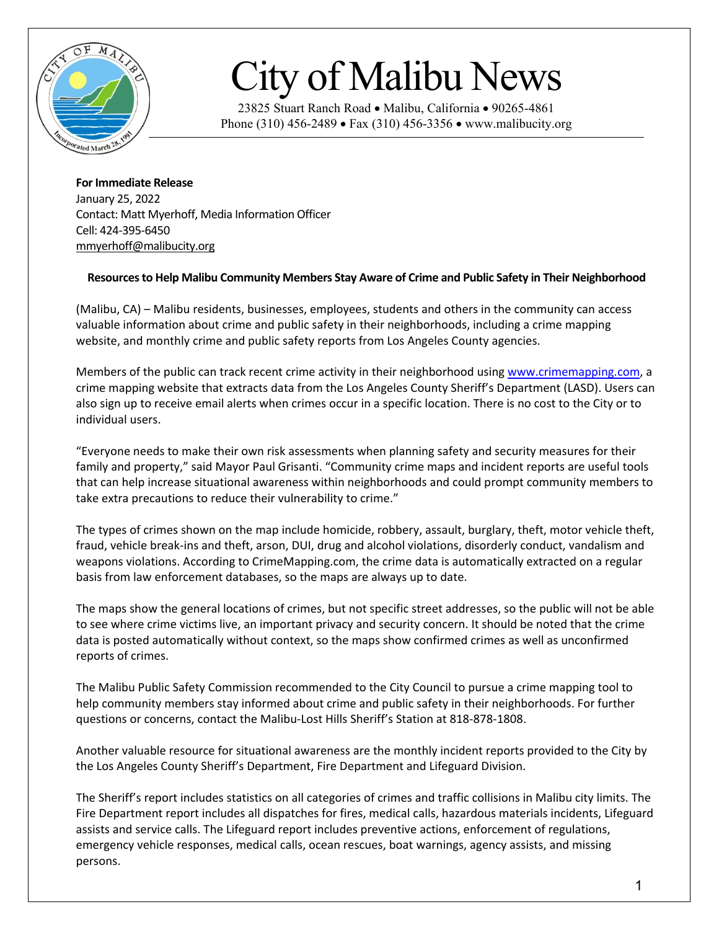

## City of Malibu News

23825 Stuart Ranch Road • Malibu, California • 90265-4861 Phone (310) 456-2489 • Fax (310) 456-3356 • www.malibucity.org

**For Immediate Release** January 25, 2022 Contact: Matt Myerhoff, Media Information Officer Cell: 424-395-6450 [mmyerhoff@malibucity.org](mailto:mmyerhoff@malibucity.org)

## **Resources to Help Malibu Community Members Stay Aware of Crime and Public Safety in Their Neighborhood**

(Malibu, CA) – Malibu residents, businesses, employees, students and others in the community can access valuable information about crime and public safety in their neighborhoods, including a crime mapping website, and monthly crime and public safety reports from Los Angeles County agencies.

Members of the public can track recent crime activity in their neighborhood using [www.crimemapping.com,](http://www.crimemapping.com/) a crime mapping website that extracts data from the Los Angeles County Sheriff's Department (LASD). Users can also sign up to receive email alerts when crimes occur in a specific location. There is no cost to the City or to individual users.

"Everyone needs to make their own risk assessments when planning safety and security measures for their family and property," said Mayor Paul Grisanti. "Community crime maps and incident reports are useful tools that can help increase situational awareness within neighborhoods and could prompt community members to take extra precautions to reduce their vulnerability to crime."

The types of crimes shown on the map include homicide, robbery, assault, burglary, theft, motor vehicle theft, fraud, vehicle break-ins and theft, arson, DUI, drug and alcohol violations, disorderly conduct, vandalism and weapons violations. According to CrimeMapping.com, the crime data is automatically extracted on a regular basis from law enforcement databases, so the maps are always up to date.

The maps show the general locations of crimes, but not specific street addresses, so the public will not be able to see where crime victims live, an important privacy and security concern. It should be noted that the crime data is posted automatically without context, so the maps show confirmed crimes as well as unconfirmed reports of crimes.

The Malibu Public Safety Commission recommended to the City Council to pursue a crime mapping tool to help community members stay informed about crime and public safety in their neighborhoods. For further questions or concerns, contact the Malibu-Lost Hills Sheriff's Station at 818-878-1808.

Another valuable resource for situational awareness are the monthly incident reports provided to the City by the Los Angeles County Sheriff's Department, Fire Department and Lifeguard Division.

The Sheriff's report includes statistics on all categories of crimes and traffic collisions in Malibu city limits. The Fire Department report includes all dispatches for fires, medical calls, hazardous materials incidents, Lifeguard assists and service calls. The Lifeguard report includes preventive actions, enforcement of regulations, emergency vehicle responses, medical calls, ocean rescues, boat warnings, agency assists, and missing persons.